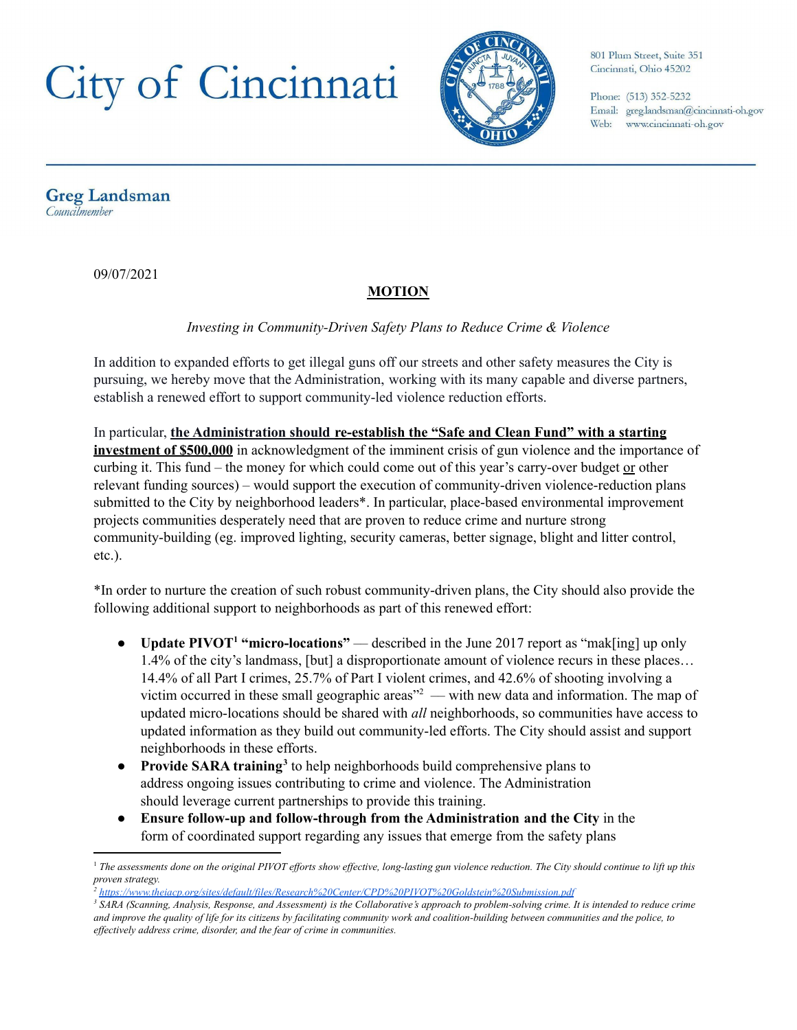

801 Plum Street, Suite 351 Cincinnati, Ohio 45202

Phone: (513) 352-5232 Email: greg.landsman@cincinnati-oh.gov Web: www.cincinnati-oh.gov

**Greg Landsman** Councilmember

09/07/2021

### **MOTION**

*Investing in Community-Driven Safety Plans to Reduce Crime & Violence*

In addition to expanded efforts to get illegal guns off our streets and other safety measures the City is pursuing, we hereby move that the Administration, working with its many capable and diverse partners, establish a renewed effort to support community-led violence reduction efforts.

In particular, **the Administration should re-establish the "Safe and Clean Fund" with a starting investment of \$500,000** in acknowledgment of the imminent crisis of gun violence and the importance of curbing it. This fund – the money for which could come out of this year's carry-over budget or other relevant funding sources) – would support the execution of community-driven violence-reduction plans submitted to the City by neighborhood leaders\*. In particular, place-based environmental improvement projects communities desperately need that are proven to reduce crime and nurture strong community-building (eg. improved lighting, security cameras, better signage, blight and litter control, etc.).

\*In order to nurture the creation of such robust community-driven plans, the City should also provide the following additional support to neighborhoods as part of this renewed effort:

- **Update PIVOT<sup>1</sup> "micro-locations"** described in the June 2017 report as "mak[ing] up only 1.4% of the city's landmass, [but] a disproportionate amount of violence recurs in these places… 14.4% of all Part I crimes, 25.7% of Part I violent crimes, and 42.6% of shooting involving a victim occurred in these small geographic areas $"^2$  — with new data and information. The map of updated micro-locations should be shared with *all* neighborhoods, so communities have access to updated information as they build out community-led efforts. The City should assist and support neighborhoods in these efforts.
- Provide SARA training<sup>3</sup> to help neighborhoods build comprehensive plans to address ongoing issues contributing to crime and violence. The Administration should leverage current partnerships to provide this training.
- **Ensure follow-up and follow-through from the Administration and the City** in the form of coordinated support regarding any issues that emerge from the safety plans

<sup>&</sup>lt;sup>1</sup> The assessments done on the original PIVOT efforts show effective, long-lasting gun violence reduction. The City should continue to lift up this *proven strategy.*

*<sup>2</sup> <https://www.theiacp.org/sites/default/files/Research%20Center/CPD%20PIVOT%20Goldstein%20Submission.pdf>*

<sup>&</sup>lt;sup>3</sup> SARA (Scanning, Analysis, Response, and Assessment) is the Collaborative's approach to problem-solving crime. It is intended to reduce crime and improve the quality of life for its citizens by facilitating community work and coalition-building between communities and the police, to *ef ectively address crime, disorder, and the fear of crime in communities.*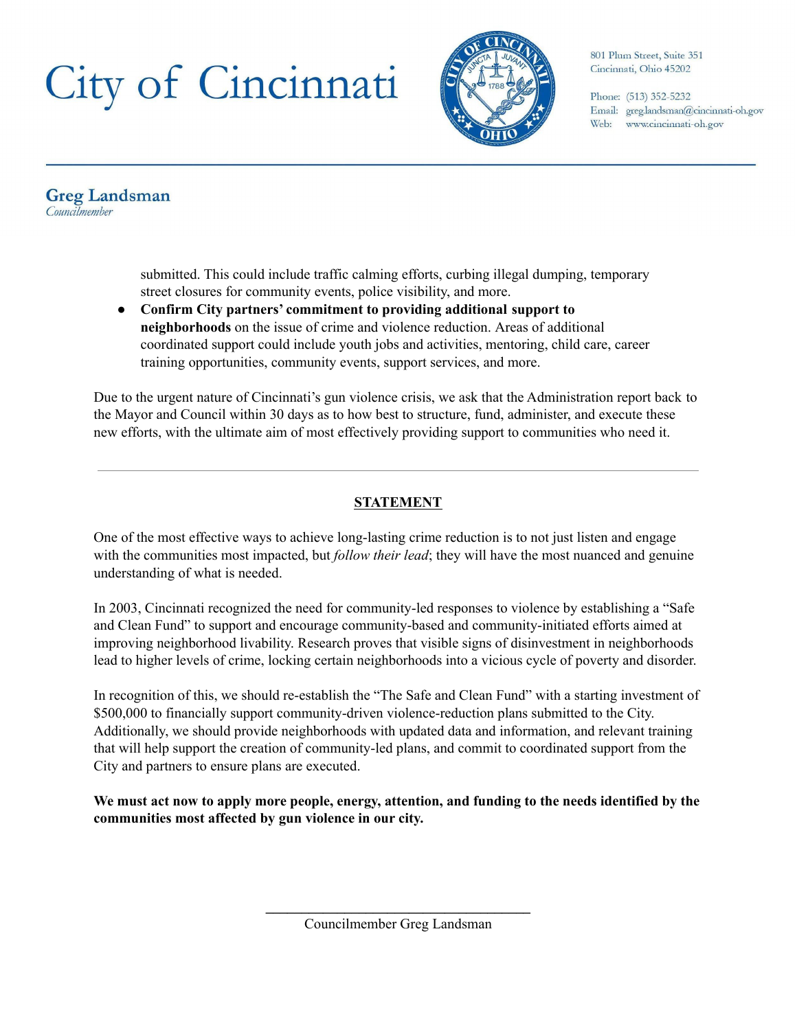

801 Plum Street, Suite 351 Cincinnati, Ohio 45202

Phone: (513) 352-5232 Email: greg.landsman@cincinnati-oh.gov Web: www.cincinnati-oh.gov

**Greg Landsman** Councilmember

> submitted. This could include traffic calming efforts, curbing illegal dumping, temporary street closures for community events, police visibility, and more.

● **Confirm City partners' commitment to providing additional support to neighborhoods** on the issue of crime and violence reduction. Areas of additional coordinated support could include youth jobs and activities, mentoring, child care, career training opportunities, community events, support services, and more.

Due to the urgent nature of Cincinnati's gun violence crisis, we ask that the Administration report back to the Mayor and Council within 30 days as to how best to structure, fund, administer, and execute these new efforts, with the ultimate aim of most effectively providing support to communities who need it.

### **STATEMENT**

One of the most effective ways to achieve long-lasting crime reduction is to not just listen and engage with the communities most impacted, but *follow their lead*; they will have the most nuanced and genuine understanding of what is needed.

In 2003, Cincinnati recognized the need for community-led responses to violence by establishing a "Safe and Clean Fund" to support and encourage community-based and community-initiated efforts aimed at improving neighborhood livability. Research proves that visible signs of disinvestment in neighborhoods lead to higher levels of crime, locking certain neighborhoods into a vicious cycle of poverty and disorder.

In recognition of this, we should re-establish the "The Safe and Clean Fund" with a starting investment of \$500,000 to financially support community-driven violence-reduction plans submitted to the City. Additionally, we should provide neighborhoods with updated data and information, and relevant training that will help support the creation of community-led plans, and commit to coordinated support from the City and partners to ensure plans are executed.

We must act now to apply more people, energy, attention, and funding to the needs identified by the **communities most affected by gun violence in our city.**

**\_\_\_\_\_\_\_\_\_\_\_\_\_\_\_\_\_\_\_\_\_\_\_\_\_\_\_\_\_\_\_\_\_\_\_\_\_** Councilmember Greg Landsman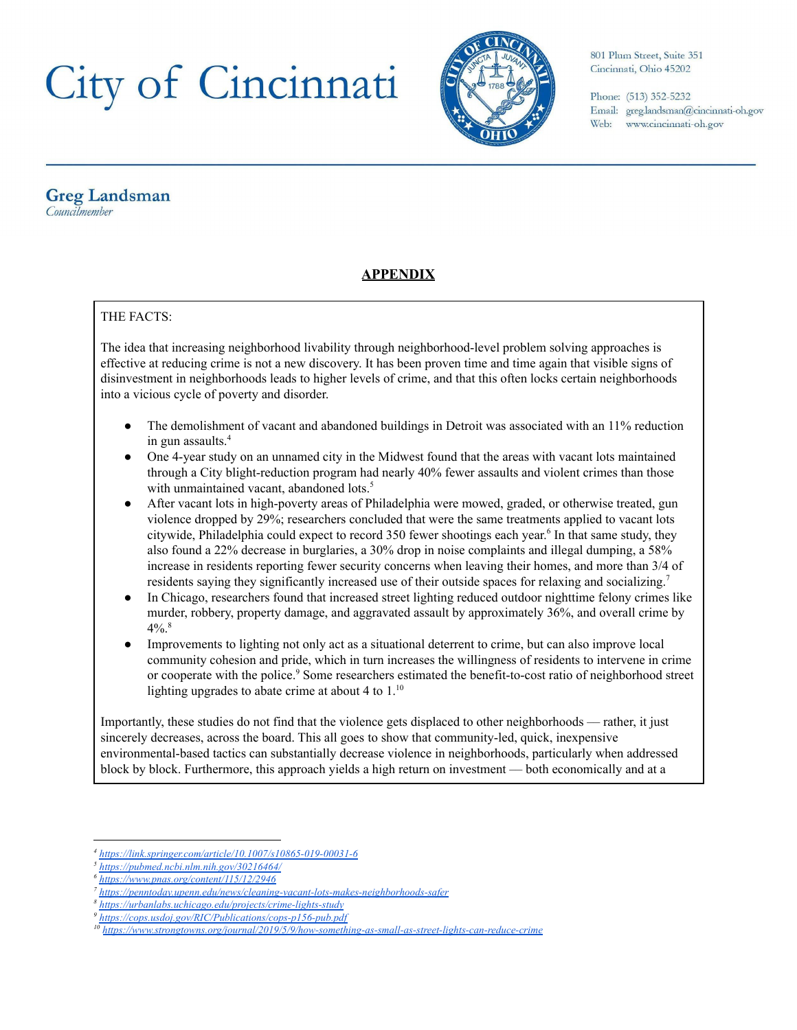

801 Plum Street, Suite 351 Cincinnati, Ohio 45202

Phone: (513) 352-5232 Email: greg.landsman@cincinnati-oh.gov Web: www.cincinnati-oh.gov

#### **Greg Landsman** Councilmember

### **APPENDIX**

#### THE FACTS:

The idea that increasing neighborhood livability through neighborhood-level problem solving approaches is effective at reducing crime is not a new discovery. It has been proven time and time again that visible signs of disinvestment in neighborhoods leads to higher levels of crime, and that this often locks certain neighborhoods into a vicious cycle of poverty and disorder.

- The demolishment of vacant and abandoned buildings in Detroit was associated with an 11% reduction in gun assaults. 4
- One 4-year study on an unnamed city in the Midwest found that the areas with vacant lots maintained through a City blight-reduction program had nearly 40% fewer assaults and violent crimes than those with unmaintained vacant, abandoned lots.<sup>5</sup>
- After vacant lots in high-poverty areas of Philadelphia were mowed, graded, or otherwise treated, gun violence dropped by 29%; researchers concluded that were the same treatments applied to vacant lots citywide, Philadelphia could expect to record 350 fewer shootings each year.<sup>6</sup> In that same study, they also found a 22% decrease in burglaries, a 30% drop in noise complaints and illegal dumping, a 58% increase in residents reporting fewer security concerns when leaving their homes, and more than 3/4 of residents saying they significantly increased use of their outside spaces for relaxing and socializing.<sup>7</sup>
- In Chicago, researchers found that increased street lighting reduced outdoor nighttime felony crimes like murder, robbery, property damage, and aggravated assault by approximately 36%, and overall crime by  $4\%$ .<sup>8</sup>
- Improvements to lighting not only act as a situational deterrent to crime, but can also improve local community cohesion and pride, which in turn increases the willingness of residents to intervene in crime or cooperate with the police.<sup>9</sup> Some researchers estimated the benefit-to-cost ratio of neighborhood street lighting upgrades to abate crime at about 4 to  $1.^{10}$

Importantly, these studies do not find that the violence gets displaced to other neighborhoods –– rather, it just sincerely decreases, across the board. This all goes to show that community-led, quick, inexpensive environmental-based tactics can substantially decrease violence in neighborhoods, particularly when addressed block by block. Furthermore, this approach yields a high return on investment –– both economically and at a

*<sup>4</sup> <https://link.springer.com/article/10.1007/s10865-019-00031-6>*

*<sup>5</sup> <https://pubmed.ncbi.nlm.nih.gov/30216464/>*

*<sup>6</sup> <https://www.pnas.org/content/115/12/2946>*

*<sup>7</sup> <https://penntoday.upenn.edu/news/cleaning-vacant-lots-makes-neighborhoods-safer>*

*<sup>8</sup> <https://urbanlabs.uchicago.edu/projects/crime-lights-study>*

*<sup>9</sup> <https://cops.usdoj.gov/RIC/Publications/cops-p156-pub.pdf>*

*<sup>10</sup> <https://www.strongtowns.org/journal/2019/5/9/how-something-as-small-as-street-lights-can-reduce-crime>*